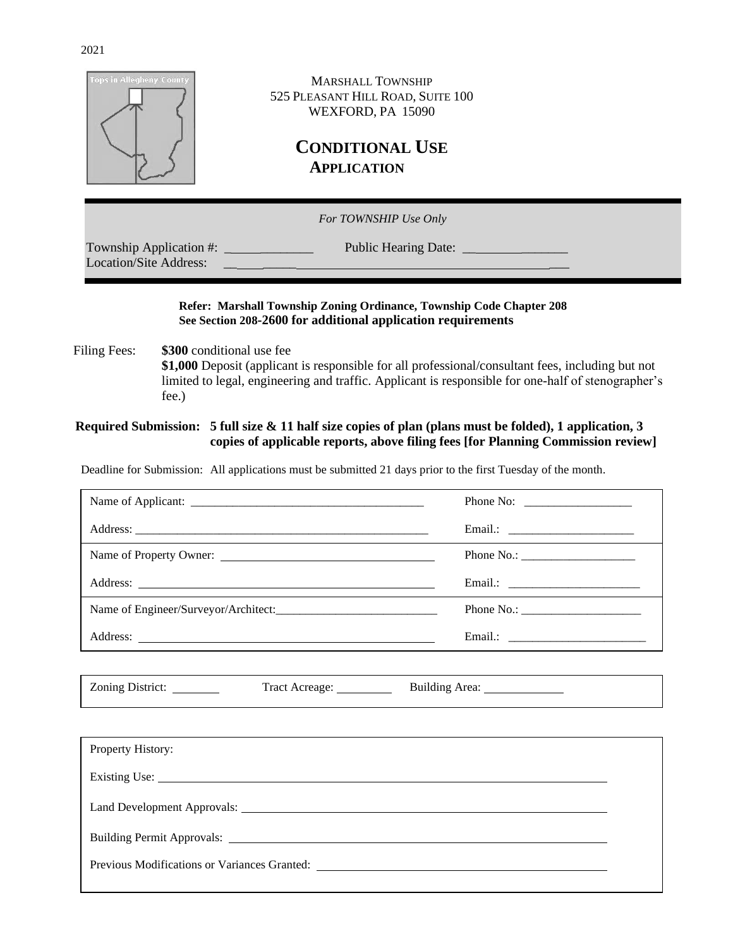| <b>Tops in Allegheny County</b> | <b>MARSHALL TOWNSHIP</b><br>525 PLEASANT HILL ROAD, SUITE 100<br>WEXFORD, PA 15090<br><b>CONDITIONAL USE</b><br><b>APPLICATION</b> |  |
|---------------------------------|------------------------------------------------------------------------------------------------------------------------------------|--|
|                                 | For TOWNSHIP Use Only                                                                                                              |  |
| <b>Location/Site Address:</b>   |                                                                                                                                    |  |

#### **Refer: Marshall Township Zoning Ordinance, Township Code Chapter 208 See Section 208-2600 for additional application requirements**

Filing Fees:  $$300$  conditional use fee **\$1,000** Deposit (applicant is responsible for all professional/consultant fees, including but not limited to legal, engineering and traffic. Applicant is responsible for one-half of stenographer's fee.)

#### **Required Submission: 5 full size & 11 half size copies of plan (plans must be folded), 1 application, 3 copies of applicable reports, above filing fees [for Planning Commission review]**

Deadline for Submission: All applications must be submitted 21 days prior to the first Tuesday of the month.

| Phone No: $\frac{1}{\sqrt{1-\frac{1}{2}} \cdot \frac{1}{2}}$                                                                          |
|---------------------------------------------------------------------------------------------------------------------------------------|
|                                                                                                                                       |
| Phone No.: $\sqrt{\frac{2}{1-\frac{1}{2}} \cdot \frac{1}{2-\frac{1}{2}} \cdot \frac{1}{2-\frac{1}{2}} \cdot \frac{1}{2-\frac{1}{2}}}$ |
|                                                                                                                                       |
|                                                                                                                                       |
|                                                                                                                                       |

| <b>Zoning District:</b> | Tract Acreage: | Building Area:<br>the contract of the contract of the contract of the contract of the contract of<br>. |
|-------------------------|----------------|--------------------------------------------------------------------------------------------------------|
|-------------------------|----------------|--------------------------------------------------------------------------------------------------------|

| Property History:                                                                                                                                                                                                              |  |
|--------------------------------------------------------------------------------------------------------------------------------------------------------------------------------------------------------------------------------|--|
|                                                                                                                                                                                                                                |  |
|                                                                                                                                                                                                                                |  |
| Building Permit Approvals: Note that the contract of the contract of the contract of the contract of the contract of the contract of the contract of the contract of the contract of the contract of the contract of the contr |  |
| Previous Modifications or Variances Granted:                                                                                                                                                                                   |  |

 $\overline{a}$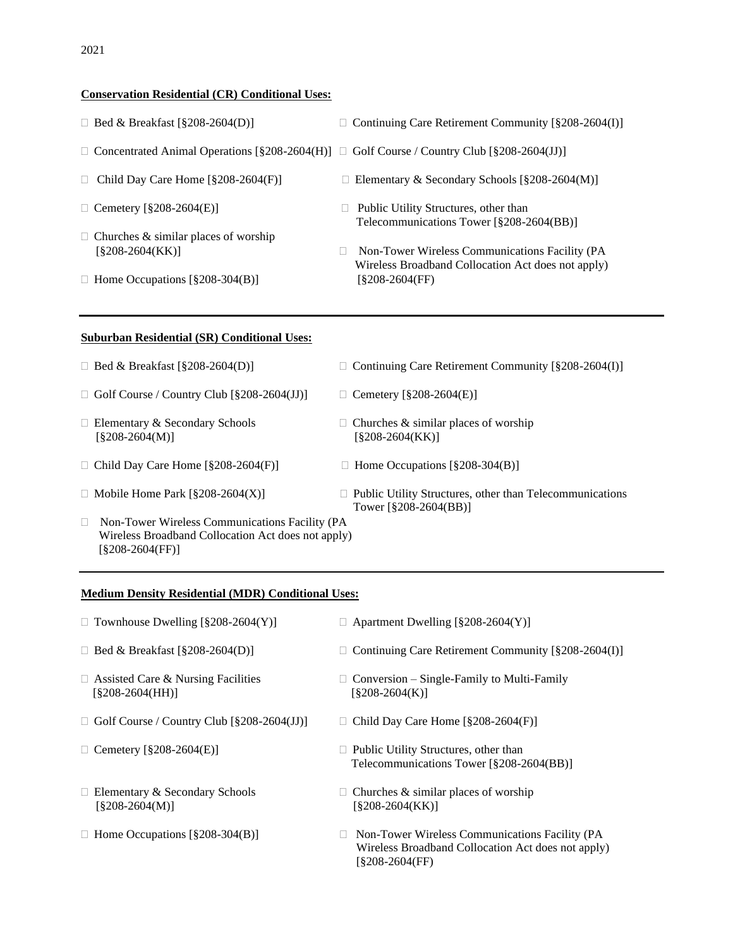#### **Conservation Residential (CR) Conditional Uses:**

| $\Box$ Bed & Breaklast $(820\delta - 2004(D))$                                                    | $\Box$ Continuing Care Retirement Community $\frac{8}{208}$ -2004(1)                                                             |  |  |
|---------------------------------------------------------------------------------------------------|----------------------------------------------------------------------------------------------------------------------------------|--|--|
| Concentrated Animal Operations $\S208-2604(H)$ $\Box$ Golf Course / Country Club $\S208-2604(JJ)$ |                                                                                                                                  |  |  |
| Child Day Care Home $\lceil \frac{8}{9} \cdot 208 - 2604 \cdot (F) \rceil$                        | $\Box$ Elementary & Secondary Schools [§208-2604(M)]                                                                             |  |  |
| Cemetery [§208-2604(E)]                                                                           | Public Utility Structures, other than<br>Telecommunications Tower [§208-2604(BB)]                                                |  |  |
| Churches & similar places of worship<br>[§208-2604(KK)]<br>Home Occupations $\S208-304(B)$        | Non-Tower Wireless Communications Facility (PA<br>$\Box$<br>Wireless Broadband Collocation Act does not apply)<br>[§208-2604(FF) |  |  |
| <b>Suburban Residential (SR) Conditional Uses:</b>                                                |                                                                                                                                  |  |  |
| Bed & Breakfast [§208-2604(D)]<br>$\Box$                                                          | Continuing Care Retirement Community [§208-2604(I)]                                                                              |  |  |
| Golf Course / Country Club [§208-2604(JJ)]                                                        | Cemetery $[§208-2604(E)]$                                                                                                        |  |  |

- $[\$208-2604(M)]$  [§208-2604(KK)]
- $\Box$  Child Day Care Home [§208-2604(F)]  $\Box$  Home Occupations [§208-304(B)]
- 
- Non-Tower Wireless Communications Facility (PA Wireless Broadband Collocation Act does not apply) [§208-2604(FF)]

#### **Medium Density Residential (MDR) Conditional Uses:**

| $\Box$ Townhouse Dwelling [§208-2604(Y)]                             | $\Box$ Apartment Dwelling [§208-2604(Y)]                                          |
|----------------------------------------------------------------------|-----------------------------------------------------------------------------------|
| Bed & Breakfast $\lceil$ §208-2604(D)]<br>$\mathbf{L}$               | Continuing Care Retirement Community [§208-2604(I)]<br>$\mathbf{L}$               |
| Assisted Care & Nursing Facilities<br>[§208-2604(HH)]                | $\Box$ Conversion – Single-Family to Multi-Family<br>$[8208-2604(K)]$             |
| Golf Course / Country Club $\lceil \frac{8208 - 2604(JJ)}{2} \rceil$ | Child Day Care Home $\lceil$ §208-2604(F)]                                        |
| Cemetery [§208-2604(E)]                                              | Public Utility Structures, other than<br>Telecommunications Tower [§208-2604(BB)] |
| Elementary & Secondary Schools<br>$[8208-2604(M)]$                   | Churches $\&$ similar places of worship<br>[§208-2604(KK)]                        |
| $\mu_{\rm oma}$ $\Omega_{\rm ocuation}$ [8208-204(R)]                | $\Box$ Non Tower Wireless Communications Eacility ( $\mathsf{DA}$ )               |

 $\Box$  Home Occupations [§208-304(B)]  $\Box$  Non-Tower Wireless Communications Facility (PA Wireless Broadband Collocation Act does not apply) [§208-2604(FF)

## $\Box$  Bed & Breakfast [§208-2604(D)]  $\Box$  Continuing Care Retirement Community [§208-2604(I)]

#### $\Box$  Elementary & Secondary Schools  $\Box$  Churches & similar places of worship

- 
- $\Box$  Mobile Home Park  $[\S 208 2604(X)]$   $\Box$  Public Utility Structures, other than Telecommunications Tower [§208-2604(BB)]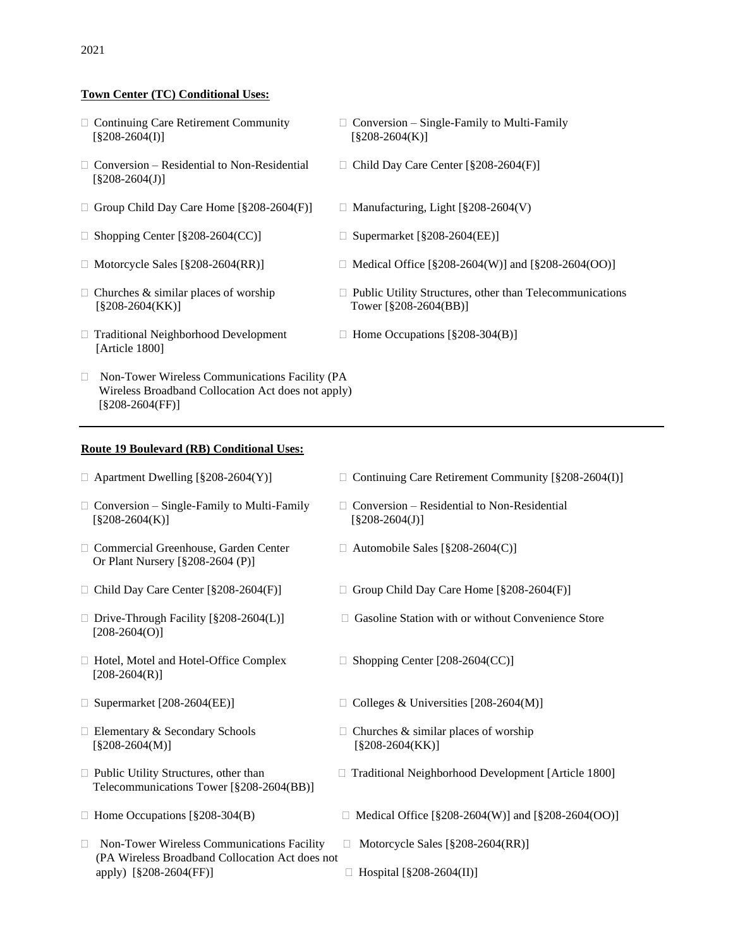#### **Town Center (TC) Conditional Uses:**

- $[\$208-2604(I)]$  [§208-2604(K)]
- $\Box$  Conversion Residential to Non-Residential  $\Box$  Child Day Care Center [§208-2604(F)]  $[§208-2604(J)]$
- $\Box$  Group Child Day Care Home [§208-2604(F)]  $\Box$  Manufacturing, Light [§208-2604(V)
- $\Box$  Shopping Center [§208-2604(CC)]  $\Box$  Supermarket [§208-2604(EE)]
- 
- [§208-2604(KK)] Tower [§208-2604(BB)]
- $\Box$  Traditional Neighborhood Development  $\Box$  Home Occupations [§208-304(B)] [Article 1800]
- □ Non-Tower Wireless Communications Facility (PA Wireless Broadband Collocation Act does not apply) [§208-2604(FF)]

#### **Route 19 Boulevard (RB) Conditional Uses:**

- 
- $\Box$  Commercial Greenhouse, Garden Center  $\Box$  Automobile Sales [§208-2604(C)] Or Plant Nursery [§208-2604 (P)]
- 
- $[208-2604(O)]$
- $\Box$  Hotel, Motel and Hotel-Office Complex  $\Box$  Shopping Center [208-2604(CC)]  $[208 - 2604(R)]$
- 
- $[\$208-2604(M)]$  [§208-2604(KK)]
- Telecommunications Tower [§208-2604(BB)]
- 
- $\Box$  Non-Tower Wireless Communications Facility  $\Box$  Motorcycle Sales [§208-2604(RR)] (PA Wireless Broadband Collocation Act does not apply)  $[\$208-2604(FF)]$   $\Box$  Hospital  $[\$208-2604(II)]$
- $\Box$  Continuing Care Retirement Community  $\Box$  Conversion Single-Family to Multi-Family
	-
	-
	-
- $\Box$  Motorcycle Sales  $\lceil \frac{8208-2604(RR)}{8208-2604(RR)} \rceil$  Medical Office  $\lceil \frac{8208-2604(W)}{8208-2604(W)} \rceil$  and  $\lceil \frac{8208-2604(W)}{8208-2604(W)} \rceil$
- $\Box$  Churches & similar places of worship  $\Box$  Public Utility Structures, other than Telecommunications
	-

- $\Box$  Apartment Dwelling [§208-2604(Y)]  $\Box$  Continuing Care Retirement Community [§208-2604(I)]
- $\Box$  Conversion Single-Family to Multi-Family  $\Box$  Conversion Residential to Non-Residential  $[\$208-2604(K)]$  [§208-2604(J)]
	-
- $\Box$  Child Day Care Center [§208-2604(F)]  $\Box$  Group Child Day Care Home [§208-2604(F)]
- $\Box$  Drive-Through Facility  $[\S 208-2604(L)]$   $\Box$  Gasoline Station with or without Convenience Store
	-
- $\Box$  Supermarket [208-2604(EE)]  $\Box$  Colleges & Universities [208-2604(M)]
- $\Box$  Elementary & Secondary Schools  $\Box$  Churches & similar places of worship
- $\Box$  Public Utility Structures, other than  $\Box$  Traditional Neighborhood Development [Article 1800]
- $\Box$  Home Occupations [§208-304(B)  $\Box$  Medical Office [§208-2604(W)] and [§208-2604(OO)]
	-
	-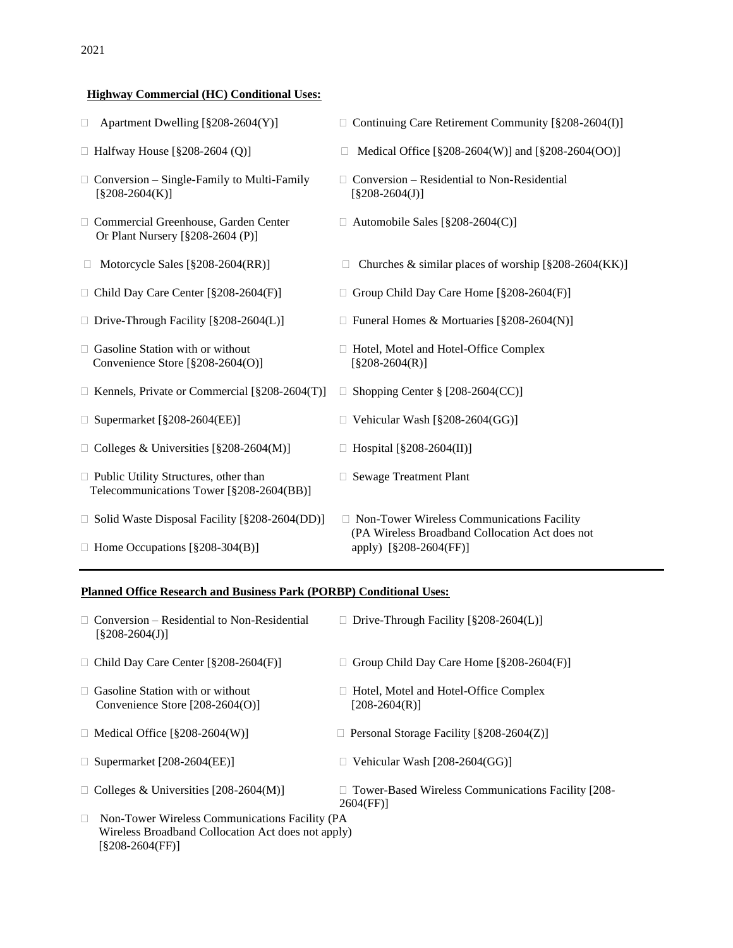## **Highway Commercial (HC) Conditional Uses:**

| Apartment Dwelling [§208-2604(Y)]<br>$\Box$                                                   | $\Box$ Continuing Care Retirement Community [§208-2604(I)]                                                                |
|-----------------------------------------------------------------------------------------------|---------------------------------------------------------------------------------------------------------------------------|
| $\Box$ Halfway House [§208-2604 (Q)]                                                          | Medical Office [§208-2604(W)] and [§208-2604(OO)]                                                                         |
| $\Box$ Conversion – Single-Family to Multi-Family<br>$[§208-2604(K)]$                         | Conversion - Residential to Non-Residential<br>$[§208-2604(J)]$                                                           |
| □ Commercial Greenhouse, Garden Center<br>Or Plant Nursery [§208-2604 (P)]                    | Automobile Sales [ $\S208-2604(C)$ ]                                                                                      |
| Motorcycle Sales [§208-2604(RR)]                                                              | Churches & similar places of worship $[\S 208 - 2604(KK)]$                                                                |
| $\Box$ Child Day Care Center [§208-2604(F)]                                                   | Group Child Day Care Home [§208-2604(F)]                                                                                  |
| $\Box$ Drive-Through Facility [§208-2604(L)]                                                  | Funeral Homes & Mortuaries [§208-2604(N)]                                                                                 |
| $\Box$ Gasoline Station with or without<br>Convenience Store [§208-2604(O)]                   | Hotel, Motel and Hotel-Office Complex<br>$[§208-2604(R)]$                                                                 |
| $\Box$ Kennels, Private or Commercial [§208-2604(T)]                                          | Shopping Center § [208-2604(CC)]                                                                                          |
| $\Box$ Supermarket [§208-2604(EE)]                                                            | Vehicular Wash [§208-2604(GG)]                                                                                            |
| $\Box$ Colleges & Universities [§208-2604(M)]                                                 | Hospital [§208-2604(II)]                                                                                                  |
| $\Box$ Public Utility Structures, other than<br>Telecommunications Tower [§208-2604(BB)]      | <b>Sewage Treatment Plant</b>                                                                                             |
| $\Box$ Solid Waste Disposal Facility [§208-2604(DD)]<br>$\Box$ Home Occupations [§208-304(B)] | □ Non-Tower Wireless Communications Facility<br>(PA Wireless Broadband Collocation Act does not<br>apply) [§208-2604(FF)] |

#### **Planned Office Research and Business Park (PORBP) Conditional Uses:**

| $\Box$ Conversion – Residential to Non-Residential<br>$\left[ $208 - 2604(J) \right]$ | $\Box$ Drive-Through Facility [§208-2604(L)]                           |
|---------------------------------------------------------------------------------------|------------------------------------------------------------------------|
| $\Box$ Child Day Care Center [§208-2604(F)]                                           | Group Child Day Care Home $\S208-2604(F)$                              |
| $\Box$ Gasoline Station with or without<br>Convenience Store $[208-2604(0)]$          | Hotel, Motel and Hotel-Office Complex<br>$[208-2604(R)]$               |
| $\Box$ Medical Office [§208-2604(W)]                                                  | $\Box$ Personal Storage Facility [§208-2604(Z)]                        |
| $\Box$ Supermarket [208-2604(EE)]                                                     | Vehicular Wash [208-2604(GG)]                                          |
| $\Box$ Colleges & Universities [208-2604(M)]                                          | $\Box$ Tower-Based Wireless Communications Facility [208-<br>2604(FF)] |
| $\Box$ Non-Tower Wireless Communications Facility (PA                                 |                                                                        |
|                                                                                       |                                                                        |

 Wireless Broadband Collocation Act does not apply) [§208-2604(FF)]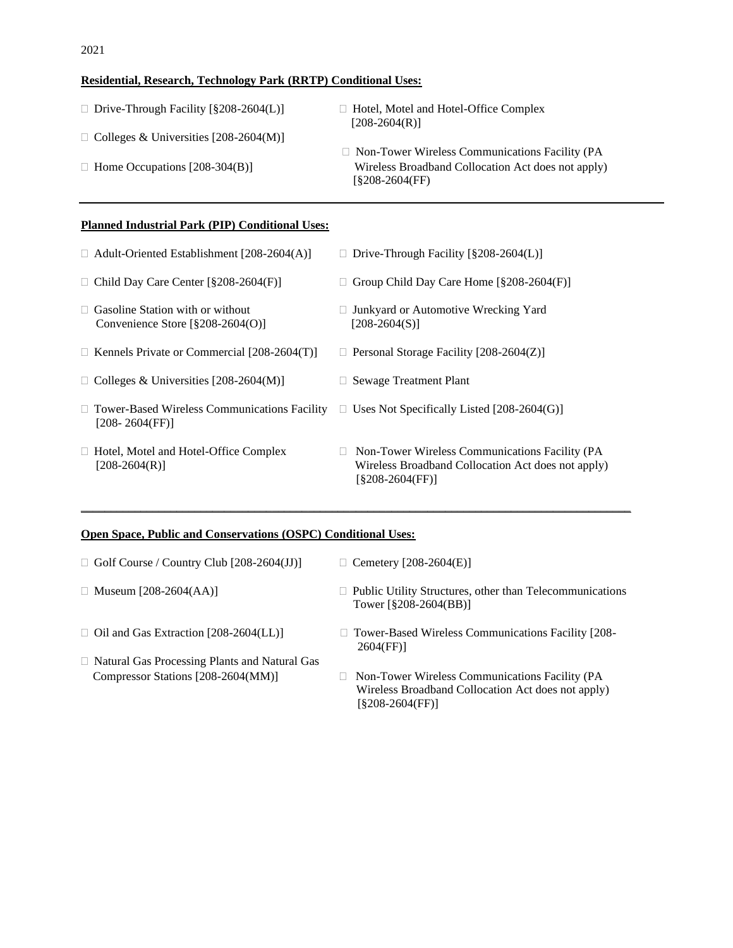## **Residential, Research, Technology Park (RRTP) Conditional Uses:**

| $\Box$ Drive-Through Facility [§208-2604(L)] | $\Box$ Hotel, Motel and Hotel-Office Complex<br>$[208-2604(R)]$         |
|----------------------------------------------|-------------------------------------------------------------------------|
| $\Box$ Colleges & Universities [208-2604(M)] |                                                                         |
|                                              | $\Box$ Non-Tower Wireless Communications Facility (PA                   |
| $\Box$ Home Occupations [208-304(B)]         | Wireless Broadband Collocation Act does not apply)<br>$(S208-2604(FF))$ |
|                                              |                                                                         |

### **Planned Industrial Park (PIP) Conditional Uses:**

| $\Box$ Adult-Oriented Establishment [208-2604(A)]                            | Drive-Through Facility $\S208-2604(L)$<br>$\mathbf{L}$                                                                                  |
|------------------------------------------------------------------------------|-----------------------------------------------------------------------------------------------------------------------------------------|
| $\Box$ Child Day Care Center [§208-2604(F)]                                  | Group Child Day Care Home [§208-2604(F)]                                                                                                |
| $\Box$ Gasoline Station with or without<br>Convenience Store $\S208-2604(0)$ | Junkyard or Automotive Wrecking Yard<br>$\mathbf{L}$<br>[208-2604(S)]                                                                   |
| $\Box$ Kennels Private or Commercial [208-2604(T)]                           | $\Box$ Personal Storage Facility [208-2604(Z)]                                                                                          |
| Colleges & Universities $[208-2604(M)]$                                      | Sewage Treatment Plant                                                                                                                  |
| $\Box$ Tower-Based Wireless Communications Facility<br>[208- 2604(FF)]       | Uses Not Specifically Listed $[208-2604(G)]$<br>П.                                                                                      |
| $\Box$ Hotel, Motel and Hotel-Office Complex<br>$[208-2604(R)]$              | Non-Tower Wireless Communications Facility (PA<br>$\mathbf{L}$<br>Wireless Broadband Collocation Act does not apply)<br>[§208-2604(FF)] |

## **Open Space, Public and Conservations (OSPC) Conditional Uses:**

| $\Box$ Golf Course / Country Club [208-2604(JJ)]     | $\Box$ Cemetery [208-2604(E)]                                                                                             |
|------------------------------------------------------|---------------------------------------------------------------------------------------------------------------------------|
| $\Box$ Museum [208-2604(AA)]                         | □ Public Utility Structures, other than Telecommunications<br>Tower [§208-2604(BB)]                                       |
| $\Box$ Oil and Gas Extraction [208-2604(LL)]         | $\Box$ Tower-Based Wireless Communications Facility [208-<br>2604(FF)                                                     |
| $\Box$ Natural Gas Processing Plants and Natural Gas |                                                                                                                           |
| Compressor Stations [208-2604(MM)]                   | Non-Tower Wireless Communications Facility (PA<br>Wireless Broadband Collocation Act does not apply)<br>$[§208-2604(FF)]$ |

\_\_\_\_\_\_\_\_\_\_\_\_\_\_\_\_\_\_\_\_\_\_\_\_\_\_\_\_\_\_\_\_\_\_\_\_\_\_\_\_\_\_\_\_\_\_\_\_\_\_\_\_\_\_\_\_\_\_\_\_\_\_\_\_\_\_\_\_\_\_\_\_\_\_\_\_\_\_\_\_\_\_\_\_\_\_\_\_\_\_\_\_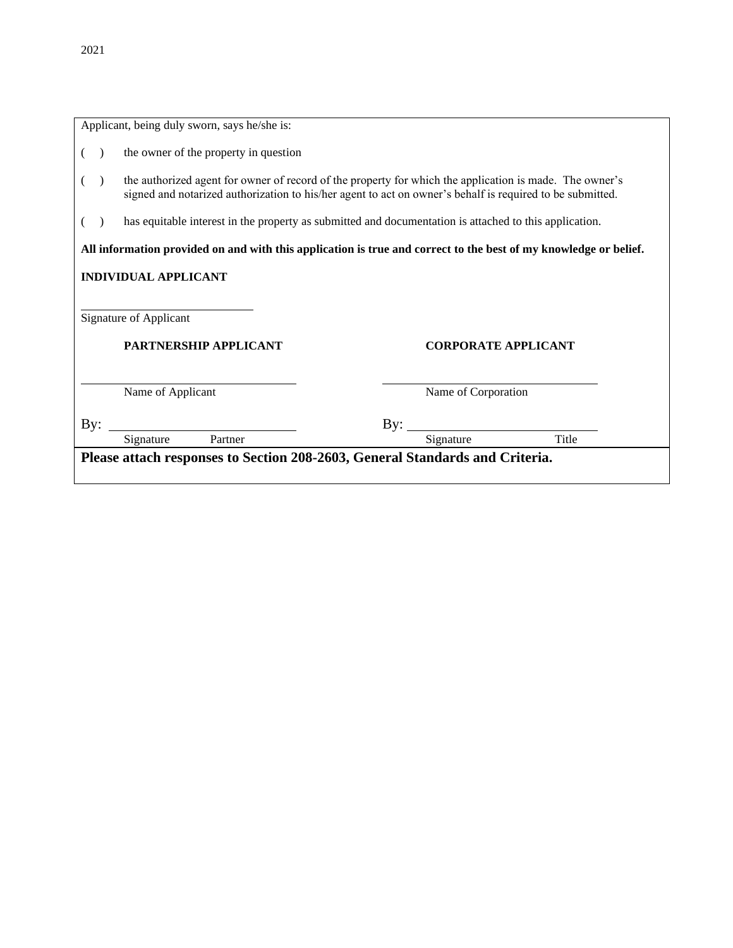|                                                     | Applicant, being duly sworn, says he/she is:                                 |                                                                                                                                                                                                                      |            |                     |       |  |
|-----------------------------------------------------|------------------------------------------------------------------------------|----------------------------------------------------------------------------------------------------------------------------------------------------------------------------------------------------------------------|------------|---------------------|-------|--|
|                                                     |                                                                              | the owner of the property in question                                                                                                                                                                                |            |                     |       |  |
|                                                     |                                                                              | the authorized agent for owner of record of the property for which the application is made. The owner's<br>signed and notarized authorization to his/her agent to act on owner's behalf is required to be submitted. |            |                     |       |  |
|                                                     |                                                                              | has equitable interest in the property as submitted and documentation is attached to this application.                                                                                                               |            |                     |       |  |
|                                                     |                                                                              | All information provided on and with this application is true and correct to the best of my knowledge or belief.                                                                                                     |            |                     |       |  |
|                                                     |                                                                              | <b>INDIVIDUAL APPLICANT</b>                                                                                                                                                                                          |            |                     |       |  |
|                                                     | Signature of Applicant                                                       |                                                                                                                                                                                                                      |            |                     |       |  |
| PARTNERSHIP APPLICANT<br><b>CORPORATE APPLICANT</b> |                                                                              |                                                                                                                                                                                                                      |            |                     |       |  |
|                                                     |                                                                              |                                                                                                                                                                                                                      |            |                     |       |  |
| Name of Applicant                                   |                                                                              |                                                                                                                                                                                                                      |            | Name of Corporation |       |  |
| By:                                                 |                                                                              |                                                                                                                                                                                                                      | $\rm\,By:$ |                     |       |  |
|                                                     |                                                                              | Partner<br>Signature                                                                                                                                                                                                 |            | Signature           | Title |  |
|                                                     | Please attach responses to Section 208-2603, General Standards and Criteria. |                                                                                                                                                                                                                      |            |                     |       |  |